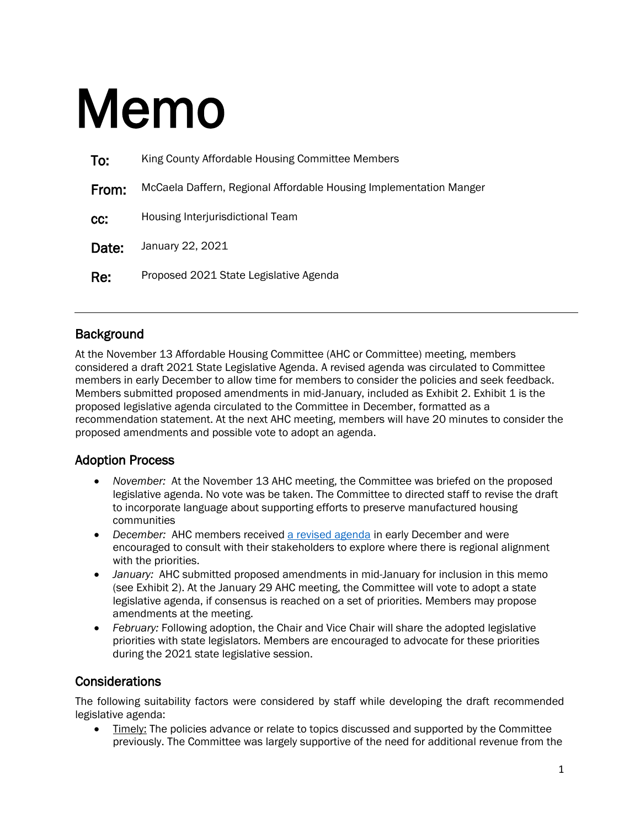# Memo

| To:   | King County Affordable Housing Committee Members                   |
|-------|--------------------------------------------------------------------|
| From: | McCaela Daffern, Regional Affordable Housing Implementation Manger |
| CC:   | Housing Interjurisdictional Team                                   |
| Date: | January 22, 2021                                                   |
| Re:   | Proposed 2021 State Legislative Agenda                             |

#### **Background**

At the November 13 Affordable Housing Committee (AHC or Committee) meeting, members considered a draft 2021 State Legislative Agenda. A revised agenda was circulated to Committee members in early December to allow time for members to consider the policies and seek feedback. Members submitted proposed amendments in mid-January, included as Exhibit 2. Exhibit 1 is the proposed legislative agenda circulated to the Committee in December, formatted as a recommendation statement. At the next AHC meeting, members will have 20 minutes to consider the proposed amendments and possible vote to adopt an agenda.

#### Adoption Process

- *November:* At the November 13 AHC meeting, the Committee was briefed on the proposed legislative agenda. No vote was be taken. The Committee to directed staff to revise the draft to incorporate language about supporting efforts to preserve manufactured housing communities
- *December:* AHC members received [a revised agenda](https://www.kingcounty.gov/%7E/media/depts/community-human-services/housing-homelessness-community-development/documents/affordable-housing-committee/Meeting_01-29-2021/Draft_AHC_2021_Legislative_Agenda.ashx?la=en) in early December and were encouraged to consult with their stakeholders to explore where there is regional alignment with the priorities.
- *January:* AHC submitted proposed amendments in mid-January for inclusion in this memo (see Exhibit 2). At the January 29 AHC meeting, the Committee will vote to adopt a state legislative agenda, if consensus is reached on a set of priorities. Members may propose amendments at the meeting.
- *February:* Following adoption, the Chair and Vice Chair will share the adopted legislative priorities with state legislators. Members are encouraged to advocate for these priorities during the 2021 state legislative session.

#### Considerations

The following suitability factors were considered by staff while developing the draft recommended legislative agenda:

• Timely: The policies advance or relate to topics discussed and supported by the Committee previously. The Committee was largely supportive of the need for additional revenue from the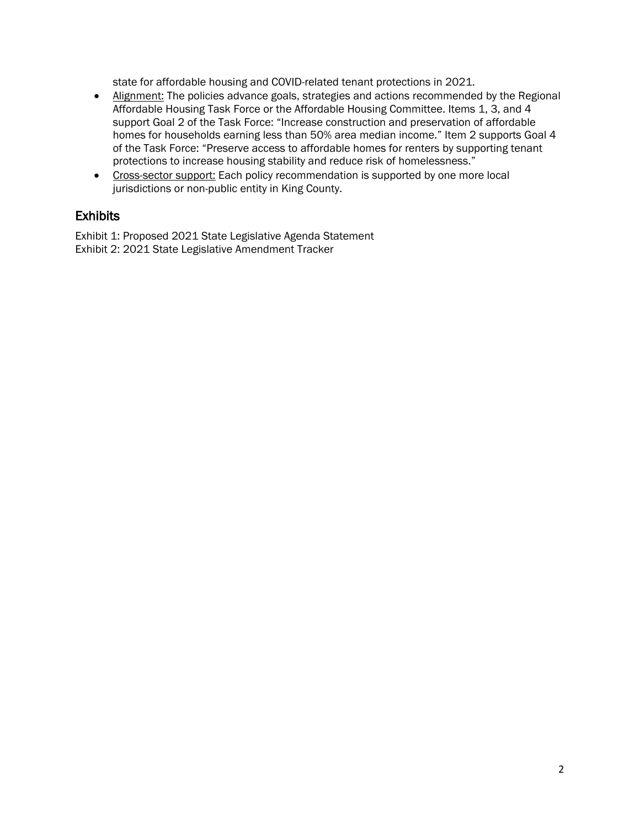state for affordable housing and COVID-related tenant protections in 2021.

- Alignment: The policies advance goals, strategies and actions recommended by the Regional Affordable Housing Task Force or the Affordable Housing Committee. Items 1, 3, and 4 support Goal 2 of the Task Force: "Increase construction and preservation of affordable homes for households earning less than 50% area median income." Item 2 supports Goal 4 of the Task Force: "Preserve access to affordable homes for renters by supporting tenant protections to increase housing stability and reduce risk of homelessness."
- Cross-sector support: Each policy recommendation is supported by one more local jurisdictions or non-public entity in King County.

#### **Exhibits**

Exhibit 1: Proposed 2021 State Legislative Agenda Statement Exhibit 2: 2021 State Legislative Amendment Tracker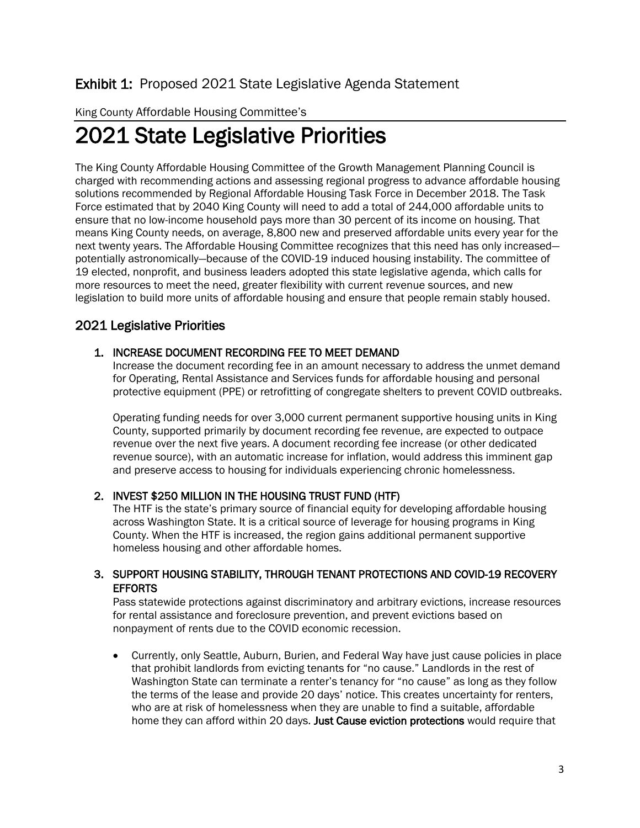#### Exhibit 1: Proposed 2021 State Legislative Agenda Statement

#### King County Affordable Housing Committee's

## 2021 State Legislative Priorities

The King County Affordable Housing Committee of the Growth Management Planning Council is charged with recommending actions and assessing regional progress to advance affordable housing solutions recommended by Regional Affordable Housing Task Force in December 2018. The Task Force estimated that by 2040 King County will need to add a total of 244,000 affordable units to ensure that no low-income household pays more than 30 percent of its income on housing. That means King County needs, on average, 8,800 new and preserved affordable units every year for the next twenty years. The Affordable Housing Committee recognizes that this need has only increased potentially astronomically—because of the COVID-19 induced housing instability. The committee of 19 elected, nonprofit, and business leaders adopted this state legislative agenda, which calls for more resources to meet the need, greater flexibility with current revenue sources, and new legislation to build more units of affordable housing and ensure that people remain stably housed.

#### 2021 Legislative Priorities

#### 1. INCREASE DOCUMENT RECORDING FEE TO MEET DEMAND

Increase the document recording fee in an amount necessary to address the unmet demand for Operating, Rental Assistance and Services funds for affordable housing and personal protective equipment (PPE) or retrofitting of congregate shelters to prevent COVID outbreaks.

Operating funding needs for over 3,000 current permanent supportive housing units in King County, supported primarily by document recording fee revenue, are expected to outpace revenue over the next five years. A document recording fee increase (or other dedicated revenue source), with an automatic increase for inflation, would address this imminent gap and preserve access to housing for individuals experiencing chronic homelessness.

#### 2. INVEST \$250 MILLION IN THE HOUSING TRUST FUND (HTF)

The HTF is the state's primary source of financial equity for developing affordable housing across Washington State. It is a critical source of leverage for housing programs in King County. When the HTF is increased, the region gains additional permanent supportive homeless housing and other affordable homes.

#### 3. SUPPORT HOUSING STABILITY, THROUGH TENANT PROTECTIONS AND COVID-19 RECOVERY **EFFORTS**

Pass statewide protections against discriminatory and arbitrary evictions, increase resources for rental assistance and foreclosure prevention, and prevent evictions based on nonpayment of rents due to the COVID economic recession.

• Currently, only Seattle, Auburn, Burien, and Federal Way have just cause policies in place that prohibit landlords from evicting tenants for "no cause." Landlords in the rest of Washington State can terminate a renter's tenancy for "no cause" as long as they follow the terms of the lease and provide 20 days' notice. This creates uncertainty for renters, who are at risk of homelessness when they are unable to find a suitable, affordable home they can afford within 20 days. Just Cause eviction protections would require that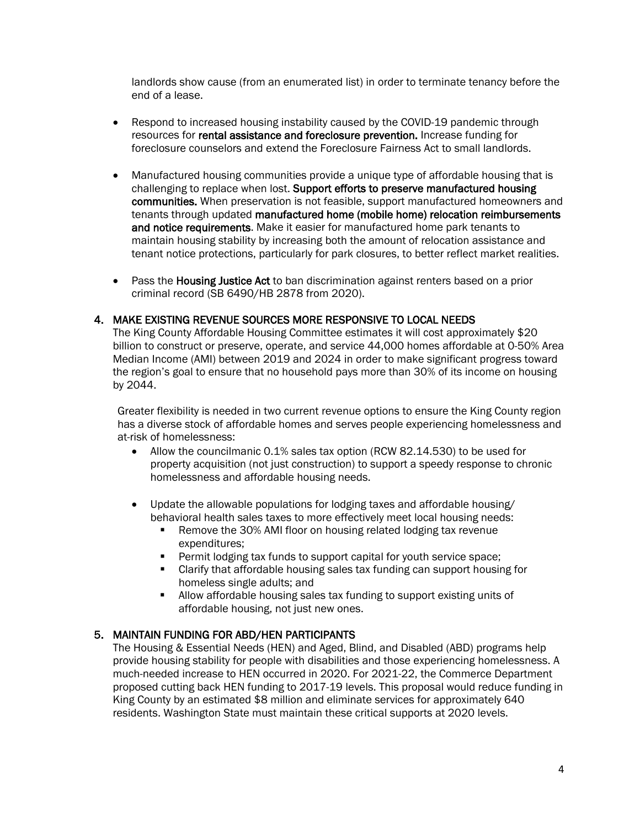landlords show cause (from an enumerated list) in order to terminate tenancy before the end of a lease.

- Respond to increased housing instability caused by the COVID-19 pandemic through resources for rental assistance and foreclosure prevention. Increase funding for foreclosure counselors and extend the Foreclosure Fairness Act to small landlords.
- Manufactured housing communities provide a unique type of affordable housing that is challenging to replace when lost. Support efforts to preserve manufactured housing communities. When preservation is not feasible, support manufactured homeowners and tenants through updated manufactured home (mobile home) relocation reimbursements and notice requirements. Make it easier for manufactured home park tenants to maintain housing stability by increasing both the amount of relocation assistance and tenant notice protections, particularly for park closures, to better reflect market realities.
- Pass the **Housing Justice Act** to ban discrimination against renters based on a prior criminal record (SB 6490/HB 2878 from 2020).

#### 4. MAKE EXISTING REVENUE SOURCES MORE RESPONSIVE TO LOCAL NEEDS

The King County Affordable Housing Committee estimates it will cost approximately \$20 billion to construct or preserve, operate, and service 44,000 homes affordable at 0-50% Area Median Income (AMI) between 2019 and 2024 in order to make significant progress toward the region's goal to ensure that no household pays more than 30% of its income on housing by 2044.

Greater flexibility is needed in two current revenue options to ensure the King County region has a diverse stock of affordable homes and serves people experiencing homelessness and at-risk of homelessness:

- Allow the councilmanic 0.1% sales tax option (RCW 82.14.530) to be used for property acquisition (not just construction) to support a speedy response to chronic homelessness and affordable housing needs.
- Update the allowable populations for lodging taxes and affordable housing/ behavioral health sales taxes to more effectively meet local housing needs:
	- **Remove the 30% AMI floor on housing related lodging tax revenue** expenditures;
	- **Permit lodging tax funds to support capital for youth service space;**
	- Clarify that affordable housing sales tax funding can support housing for homeless single adults; and
	- Allow affordable housing sales tax funding to support existing units of affordable housing, not just new ones.

#### 5. MAINTAIN FUNDING FOR ABD/HEN PARTICIPANTS

The Housing & Essential Needs (HEN) and Aged, Blind, and Disabled (ABD) programs help provide housing stability for people with disabilities and those experiencing homelessness. A much-needed increase to HEN occurred in 2020. For 2021-22, the Commerce Department proposed cutting back HEN funding to 2017-19 levels. This proposal would reduce funding in King County by an estimated \$8 million and eliminate services for approximately 640 residents. Washington State must maintain these critical supports at 2020 levels.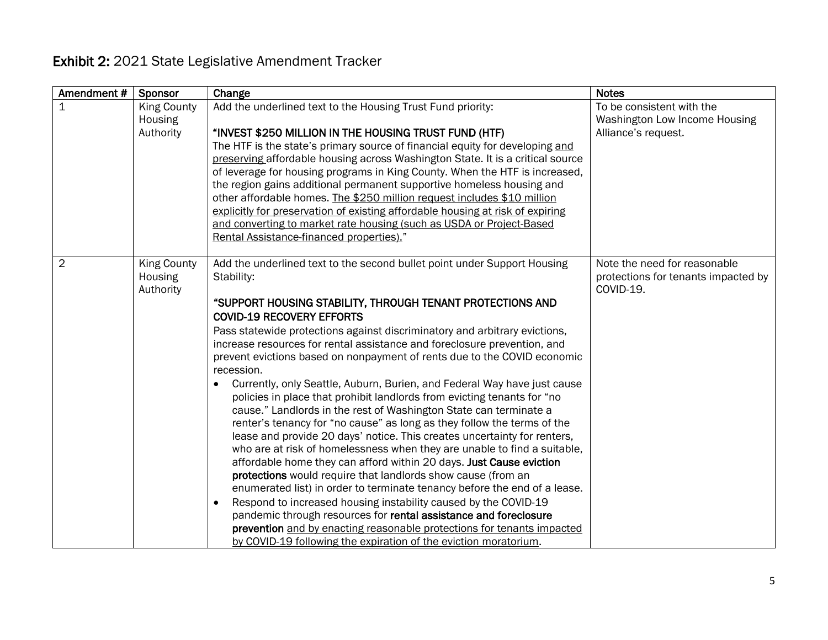### Exhibit 2: 2021 State Legislative Amendment Tracker

| Amendment#     | <b>Sponsor</b>                             | Change                                                                                                                                                                                                                                                                                                                                                                                                                                                                                                                                                                                                                                                                                                                                                                                                                                                                                                                                                                                                                                                                                                                                                                                                                                                                                                                                                                                                                            | <b>Notes</b>                                                                      |
|----------------|--------------------------------------------|-----------------------------------------------------------------------------------------------------------------------------------------------------------------------------------------------------------------------------------------------------------------------------------------------------------------------------------------------------------------------------------------------------------------------------------------------------------------------------------------------------------------------------------------------------------------------------------------------------------------------------------------------------------------------------------------------------------------------------------------------------------------------------------------------------------------------------------------------------------------------------------------------------------------------------------------------------------------------------------------------------------------------------------------------------------------------------------------------------------------------------------------------------------------------------------------------------------------------------------------------------------------------------------------------------------------------------------------------------------------------------------------------------------------------------------|-----------------------------------------------------------------------------------|
| $\mathbf 1$    | <b>King County</b><br>Housing<br>Authority | Add the underlined text to the Housing Trust Fund priority:<br>"INVEST \$250 MILLION IN THE HOUSING TRUST FUND (HTF)<br>The HTF is the state's primary source of financial equity for developing and<br>preserving affordable housing across Washington State. It is a critical source<br>of leverage for housing programs in King County. When the HTF is increased,<br>the region gains additional permanent supportive homeless housing and<br>other affordable homes. The \$250 million request includes \$10 million<br>explicitly for preservation of existing affordable housing at risk of expiring<br>and converting to market rate housing (such as USDA or Project-Based<br>Rental Assistance-financed properties)."                                                                                                                                                                                                                                                                                                                                                                                                                                                                                                                                                                                                                                                                                                   | To be consistent with the<br>Washington Low Income Housing<br>Alliance's request. |
| $\overline{2}$ | <b>King County</b><br>Housing<br>Authority | Add the underlined text to the second bullet point under Support Housing<br>Stability:<br>"SUPPORT HOUSING STABILITY, THROUGH TENANT PROTECTIONS AND<br><b>COVID-19 RECOVERY EFFORTS</b><br>Pass statewide protections against discriminatory and arbitrary evictions,<br>increase resources for rental assistance and foreclosure prevention, and<br>prevent evictions based on nonpayment of rents due to the COVID economic<br>recession.<br>Currently, only Seattle, Auburn, Burien, and Federal Way have just cause<br>policies in place that prohibit landlords from evicting tenants for "no<br>cause." Landlords in the rest of Washington State can terminate a<br>renter's tenancy for "no cause" as long as they follow the terms of the<br>lease and provide 20 days' notice. This creates uncertainty for renters,<br>who are at risk of homelessness when they are unable to find a suitable,<br>affordable home they can afford within 20 days. Just Cause eviction<br>protections would require that landlords show cause (from an<br>enumerated list) in order to terminate tenancy before the end of a lease.<br>Respond to increased housing instability caused by the COVID-19<br>$\bullet$<br>pandemic through resources for rental assistance and foreclosure<br>prevention and by enacting reasonable protections for tenants impacted<br>by COVID-19 following the expiration of the eviction moratorium. | Note the need for reasonable<br>protections for tenants impacted by<br>COVID-19.  |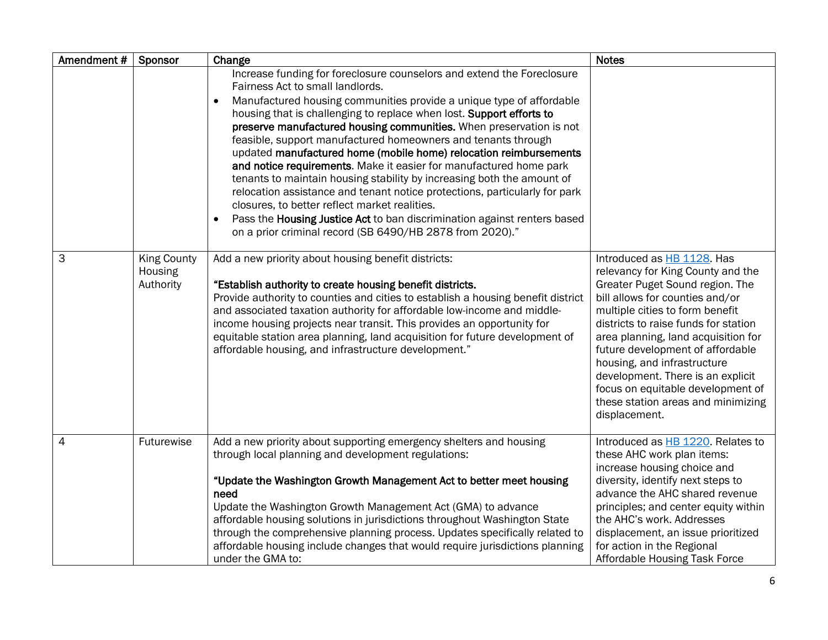| Amendment#     | Sponsor                                    | Change                                                                                                                                                                                                                                                                                                                                                                                                                                                                                                                                                                                                                                                                                                                                                                                                                                                                                                                   | <b>Notes</b>                                                                                                                                                                                                                                                                                                                                                                                                                                                |
|----------------|--------------------------------------------|--------------------------------------------------------------------------------------------------------------------------------------------------------------------------------------------------------------------------------------------------------------------------------------------------------------------------------------------------------------------------------------------------------------------------------------------------------------------------------------------------------------------------------------------------------------------------------------------------------------------------------------------------------------------------------------------------------------------------------------------------------------------------------------------------------------------------------------------------------------------------------------------------------------------------|-------------------------------------------------------------------------------------------------------------------------------------------------------------------------------------------------------------------------------------------------------------------------------------------------------------------------------------------------------------------------------------------------------------------------------------------------------------|
|                |                                            | Increase funding for foreclosure counselors and extend the Foreclosure<br>Fairness Act to small landlords.<br>Manufactured housing communities provide a unique type of affordable<br>$\bullet$<br>housing that is challenging to replace when lost. Support efforts to<br>preserve manufactured housing communities. When preservation is not<br>feasible, support manufactured homeowners and tenants through<br>updated manufactured home (mobile home) relocation reimbursements<br>and notice requirements. Make it easier for manufactured home park<br>tenants to maintain housing stability by increasing both the amount of<br>relocation assistance and tenant notice protections, particularly for park<br>closures, to better reflect market realities.<br>Pass the Housing Justice Act to ban discrimination against renters based<br>$\bullet$<br>on a prior criminal record (SB 6490/HB 2878 from 2020)." |                                                                                                                                                                                                                                                                                                                                                                                                                                                             |
| 3              | <b>King County</b><br>Housing<br>Authority | Add a new priority about housing benefit districts:<br>"Establish authority to create housing benefit districts.<br>Provide authority to counties and cities to establish a housing benefit district<br>and associated taxation authority for affordable low-income and middle-<br>income housing projects near transit. This provides an opportunity for<br>equitable station area planning, land acquisition for future development of<br>affordable housing, and infrastructure development."                                                                                                                                                                                                                                                                                                                                                                                                                         | Introduced as HB 1128. Has<br>relevancy for King County and the<br>Greater Puget Sound region. The<br>bill allows for counties and/or<br>multiple cities to form benefit<br>districts to raise funds for station<br>area planning, land acquisition for<br>future development of affordable<br>housing, and infrastructure<br>development. There is an explicit<br>focus on equitable development of<br>these station areas and minimizing<br>displacement. |
| $\overline{4}$ | Futurewise                                 | Add a new priority about supporting emergency shelters and housing<br>through local planning and development regulations:<br>"Update the Washington Growth Management Act to better meet housing<br>need<br>Update the Washington Growth Management Act (GMA) to advance<br>affordable housing solutions in jurisdictions throughout Washington State<br>through the comprehensive planning process. Updates specifically related to<br>affordable housing include changes that would require jurisdictions planning<br>under the GMA to:                                                                                                                                                                                                                                                                                                                                                                                | Introduced as HB 1220. Relates to<br>these AHC work plan items:<br>increase housing choice and<br>diversity, identify next steps to<br>advance the AHC shared revenue<br>principles; and center equity within<br>the AHC's work. Addresses<br>displacement, an issue prioritized<br>for action in the Regional<br>Affordable Housing Task Force                                                                                                             |